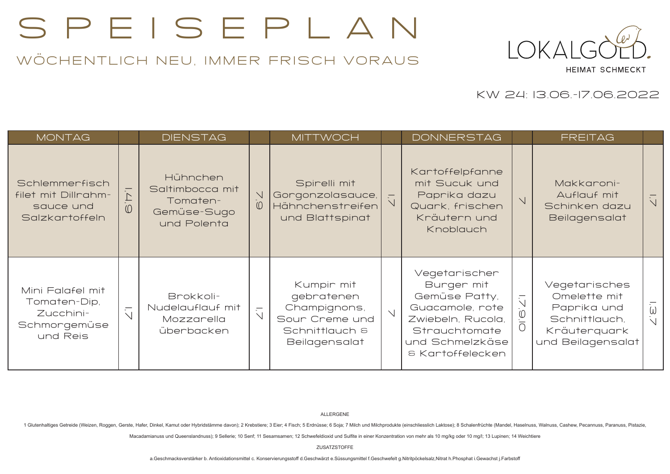## SPEISEPLAN

## WÖCHENTLICH NEU, IMMER FRISCH VORAUS



KW 24: 13.06.-17.06.2022

| MONTAG                                                                    |                                    | <b>DIENSTAG</b>                                                       |                          | <b>MITTWOCH</b>                                                                                      |                | <b>DONNERSTAG</b>                                                                                                                                   |                                                        | <b>FREITAG</b>                                                                                     |                |
|---------------------------------------------------------------------------|------------------------------------|-----------------------------------------------------------------------|--------------------------|------------------------------------------------------------------------------------------------------|----------------|-----------------------------------------------------------------------------------------------------------------------------------------------------|--------------------------------------------------------|----------------------------------------------------------------------------------------------------|----------------|
| Schlemmerfisch<br>filet mit Dillrahm-<br>sauce und<br>Salzkartoffeln      | $\triangleright$<br>$\circledcirc$ | Hühnchen<br>Saltimbocca mit<br>Tomaten-<br>Gemüse-Sugo<br>und Polenta | $\vee$<br>$\circledcirc$ | Spirelli mit<br>Gorgonzolasauce,<br>Hähnchenstreifen<br>und Blattspinat                              | $\overline{C}$ | Kartoffelpfanne<br>mit Sucuk und<br>Paprika dazu<br>Quark, frischen<br>Kräutern und<br>Knoblauch                                                    | $\vee$                                                 | Makkaroni-<br>Auflauf mit<br>Schinken dazu<br>Beilagensalat                                        | $\overline{C}$ |
| Mini Falafel mit<br>Tomaten-Dip,<br>Zucchini-<br>Schmorgemüse<br>und Reis | $\overline{\sqrt{ }}$              | Brokkoli-<br>Nudelauflauf mit<br>Mozzarella<br>überbacken             | $\overline{\sqrt{ }}$    | Kumpir mit<br>gebratenen<br>Champignons,<br>Sour Creme und<br>Schnittlauch &<br><b>Beilagensalat</b> | $\vee$         | Vegetarischer<br>Burger mit<br>Gemüse Patty,<br>Guacamole, rote<br>Zwiebeln, Rucola,<br>Strauchtomate<br>und Schmelzkäse<br><b>8 Kartoffelecken</b> | $\overline{\overline{C}}$<br>$\frac{1}{\overline{10}}$ | Vegetarisches<br>Omelette mit<br>Paprika und<br>Schnittlauch,<br>Kräuterquark<br>und Beilagensalat | $\overline{3}$ |

## ALLERGENE

1 Glutenhaltiges Getreide (Weizen, Roggen, Gerste, Hafer, Dinkel, Kamut oder Hybridstämme davon); 2 Krebstiere; 3 Eier; 4 Fisch; 5 Erdnüsse; 6 Soja; 7 Milch und Milchprodukte (einschliesslich Laktose); 8 Schalenfrüchte (Ma

Macadamianuss und Queenslandnuss): 9 Sellerie: 10 Senf: 11 Sesamsamen; 12 Schwefeldioxid und Sulfite in einer Konzentration von mehr als 10 mg/kg oder 10 mg/l; 13 Lupinen; 14 Weichtiere

ZUSATZSTOFFE